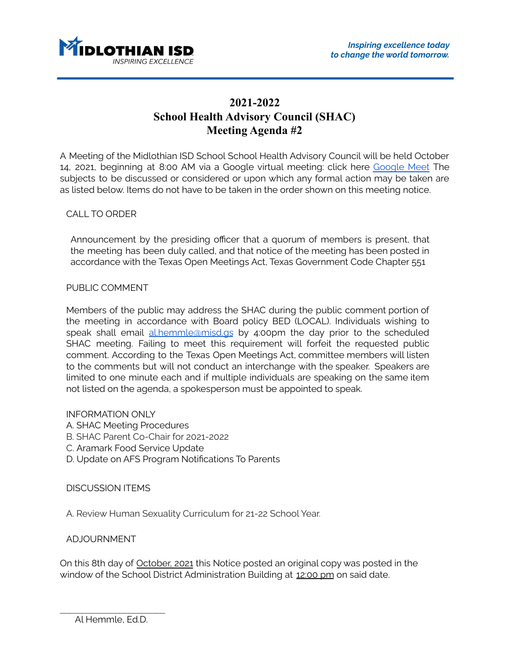

# **2021-2022 School Health Advisory Council (SHAC) Meeting Agenda #2**

A Meeting of the Midlothian ISD School School Health Advisory Council will be held October 14, 2021, beginning at 8:00 AM via a Google virtual meeting: click here [Google](http://meet.google.com/hvd-xdgm-bvr) Meet The subjects to be discussed or considered or upon which any formal action may be taken are as listed below. Items do not have to be taken in the order shown on this meeting notice.

## CALL TO ORDER

Announcement by the presiding officer that a quorum of members is present, that the meeting has been duly called, and that notice of the meeting has been posted in accordance with the Texas Open Meetings Act, Texas Government Code Chapter 551

## PUBLIC COMMENT

Members of the public may address the SHAC during the public comment portion of the meeting in accordance with Board policy BED (LOCAL). Individuals wishing to speak shall email [al.hemmle@misd.gs](mailto:al.hemmle@misd.gs) by 4:00pm the day prior to the scheduled SHAC meeting. Failing to meet this requirement will forfeit the requested public comment. According to the Texas Open Meetings Act, committee members will listen to the comments but will not conduct an interchange with the speaker. Speakers are limited to one minute each and if multiple individuals are speaking on the same item not listed on the agenda, a spokesperson must be appointed to speak.

#### INFORMATION ONLY

- A. SHAC Meeting Procedures
- B. SHAC Parent Co-Chair for 2021-2022
- C. Aramark Food Service Update
- D. Update on AFS Program Notifications To Parents

#### DISCUSSION ITEMS

A. Review Human Sexuality Curriculum for 21-22 School Year.

## ADJOURNMENT

On this 8th day of October, 2021 this Notice posted an original copy was posted in the window of the School District Administration Building at 12:00 pm on said date.

 $\mathcal{L}_\text{max}$ Al Hemmle, Ed.D.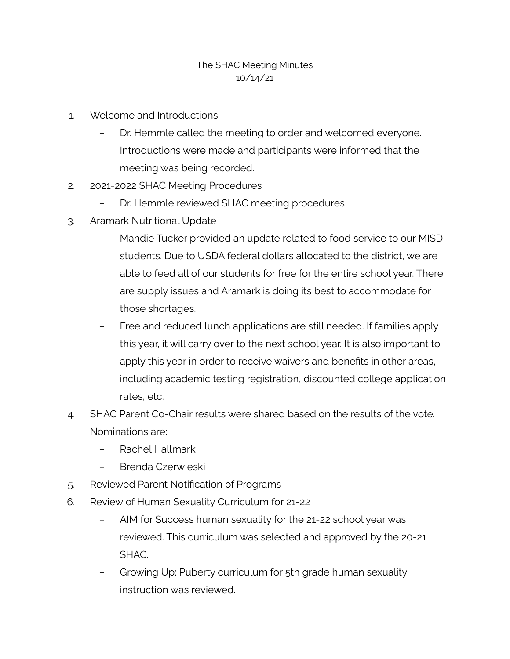## The SHAC Meeting Minutes 10/14/21

- 1. Welcome and Introductions
	- Dr. Hemmle called the meeting to order and welcomed everyone. Introductions were made and participants were informed that the meeting was being recorded.
- 2. 2021-2022 SHAC Meeting Procedures
	- Dr. Hemmle reviewed SHAC meeting procedures
- 3. Aramark Nutritional Update
	- Mandie Tucker provided an update related to food service to our MISD students. Due to USDA federal dollars allocated to the district, we are able to feed all of our students for free for the entire school year. There are supply issues and Aramark is doing its best to accommodate for those shortages.
	- Free and reduced lunch applications are still needed. If families apply this year, it will carry over to the next school year. It is also important to apply this year in order to receive waivers and benefits in other areas, including academic testing registration, discounted college application rates, etc.
- 4. SHAC Parent Co-Chair results were shared based on the results of the vote. Nominations are:
	- Rachel Hallmark
	- Brenda Czerwieski
- 5. Reviewed Parent Notification of Programs
- 6. Review of Human Sexuality Curriculum for 21-22
	- AIM for Success human sexuality for the 21-22 school year was reviewed. This curriculum was selected and approved by the 20-21 SHAC.
	- Growing Up: Puberty curriculum for 5th grade human sexuality instruction was reviewed.